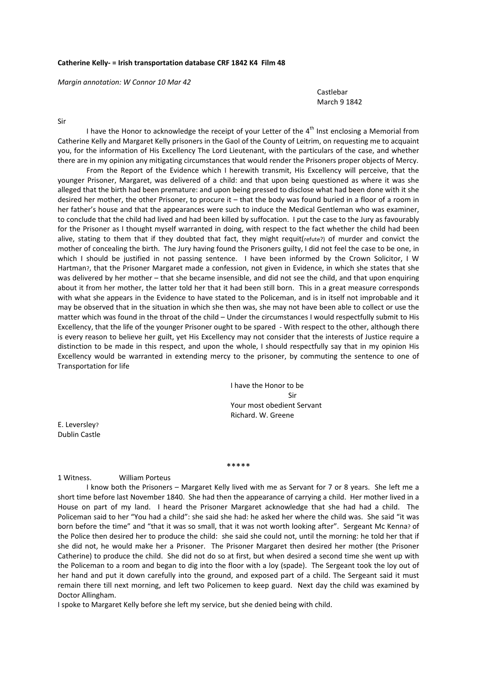### **Catherine Kelly‐ = Irish transportation database CRF 1842 K4 Film 48**

*Margin annotation: W Connor 10 Mar 42*

# **Castlebar Castlebar Castlebar** March 9 1842

### Sir

I have the Honor to acknowledge the receipt of your Letter of the  $4<sup>th</sup>$  Inst enclosing a Memorial from Catherine Kelly and Margaret Kelly prisoners in the Gaol of the County of Leitrim, on requesting me to acquaint you, for the information of His Excellency The Lord Lieutenant, with the particulars of the case, and whether there are in my opinion any mitigating circumstances that would render the Prisoners proper objects of Mercy.

From the Report of the Evidence which I herewith transmit, His Excellency will perceive, that the younger Prisoner, Margaret, was delivered of a child: and that upon being questioned as where it was she alleged that the birth had been premature: and upon being pressed to disclose what had been done with it she desired her mother, the other Prisoner, to procure it – that the body was found buried in a floor of a room in her father's house and that the appearances were such to induce the Medical Gentleman who was examiner, to conclude that the child had lived and had been killed by suffocation. I put the case to the Jury as favourably for the Prisoner as I thought myself warranted in doing, with respect to the fact whether the child had been alive, stating to them that if they doubted that fact, they might requit(refute?) of murder and convict the mother of concealing the birth. The Jury having found the Prisoners guilty, I did not feel the case to be one, in which I should be justified in not passing sentence. I have been informed by the Crown Solicitor, I W Hartman?, that the Prisoner Margaret made a confession, not given in Evidence, in which she states that she was delivered by her mother – that she became insensible, and did not see the child, and that upon enquiring about it from her mother, the latter told her that it had been still born. This in a great measure corresponds with what she appears in the Evidence to have stated to the Policeman, and is in itself not improbable and it may be observed that in the situation in which she then was, she may not have been able to collect or use the matter which was found in the throat of the child – Under the circumstances I would respectfully submit to His Excellency, that the life of the younger Prisoner ought to be spared ‐ With respect to the other, although there is every reason to believe her guilt, yet His Excellency may not consider that the interests of Justice require a distinction to be made in this respect, and upon the whole, I should respectfully say that in my opinion His Excellency would be warranted in extending mercy to the prisoner, by commuting the sentence to one of Transportation for life

 I have the Honor to be Sir Your most obedient Servant Richard. W. Greene

E. Leversley? Dublin Castle

#### \*\*\*\*\*

## 1 Witness. William Porteus

I know both the Prisoners – Margaret Kelly lived with me as Servant for 7 or 8 years. She left me a short time before last November 1840. She had then the appearance of carrying a child. Her mother lived in a House on part of my land. I heard the Prisoner Margaret acknowledge that she had had a child. The Policeman said to her "You had a child": she said she had: he asked her where the child was. She said "it was born before the time" and "that it was so small, that it was not worth looking after". Sergeant Mc Kenna? of the Police then desired her to produce the child: she said she could not, until the morning: he told her that if she did not, he would make her a Prisoner. The Prisoner Margaret then desired her mother (the Prisoner Catherine) to produce the child. She did not do so at first, but when desired a second time she went up with the Policeman to a room and began to dig into the floor with a loy (spade). The Sergeant took the loy out of her hand and put it down carefully into the ground, and exposed part of a child. The Sergeant said it must remain there till next morning, and left two Policemen to keep guard. Next day the child was examined by Doctor Allingham.

I spoke to Margaret Kelly before she left my service, but she denied being with child.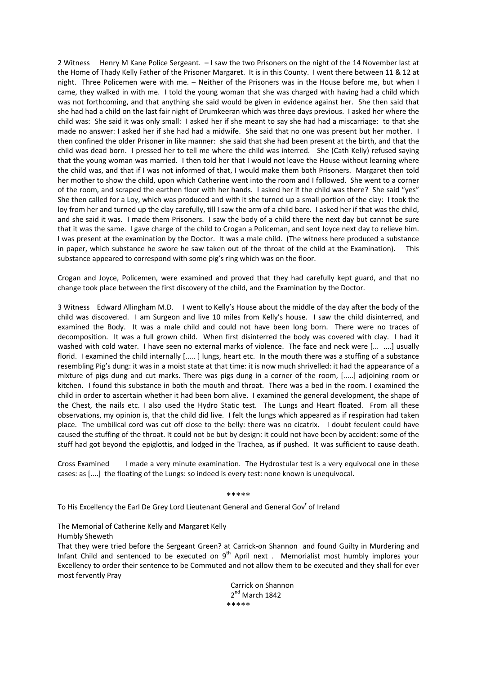2 Witness Henry M Kane Police Sergeant. – I saw the two Prisoners on the night of the 14 November last at the Home of Thady Kelly Father of the Prisoner Margaret. It is in this County. I went there between 11 & 12 at night. Three Policemen were with me. – Neither of the Prisoners was in the House before me, but when I came, they walked in with me. I told the young woman that she was charged with having had a child which was not forthcoming, and that anything she said would be given in evidence against her. She then said that she had had a child on the last fair night of Drumkeeran which was three days previous. I asked her where the child was: She said it was only small: I asked her if she meant to say she had had a miscarriage: to that she made no answer: I asked her if she had had a midwife. She said that no one was present but her mother. I then confined the older Prisoner in like manner: she said that she had been present at the birth, and that the child was dead born. I pressed her to tell me where the child was interred. She (Cath Kelly) refused saying that the young woman was married. I then told her that I would not leave the House without learning where the child was, and that if I was not informed of that, I would make them both Prisoners. Margaret then told her mother to show the child, upon which Catherine went into the room and I followed. She went to a corner of the room, and scraped the earthen floor with her hands. I asked her if the child was there? She said "yes" She then called for a Loy, which was produced and with it she turned up a small portion of the clay: I took the loy from her and turned up the clay carefully, till I saw the arm of a child bare. I asked her if that was the child, and she said it was. I made them Prisoners. I saw the body of a child there the next day but cannot be sure that it was the same. I gave charge of the child to Crogan a Policeman, and sent Joyce next day to relieve him. I was present at the examination by the Doctor. It was a male child. (The witness here produced a substance in paper, which substance he swore he saw taken out of the throat of the child at the Examination). This substance appeared to correspond with some pig's ring which was on the floor.

Crogan and Joyce, Policemen, were examined and proved that they had carefully kept guard, and that no change took place between the first discovery of the child, and the Examination by the Doctor.

3 Witness Edward Allingham M.D. I went to Kelly's House about the middle of the day after the body of the child was discovered. I am Surgeon and live 10 miles from Kelly's house. I saw the child disinterred, and examined the Body. It was a male child and could not have been long born. There were no traces of decomposition. It was a full grown child. When first disinterred the body was covered with clay. I had it washed with cold water. I have seen no external marks of violence. The face and neck were [... ....] usually florid. I examined the child internally [.....] lungs, heart etc. In the mouth there was a stuffing of a substance resembling Pig's dung: it was in a moist state at that time: it is now much shrivelled: it had the appearance of a mixture of pigs dung and cut marks. There was pigs dung in a corner of the room, [.....] adjoining room or kitchen. I found this substance in both the mouth and throat. There was a bed in the room. I examined the child in order to ascertain whether it had been born alive. I examined the general development, the shape of the Chest, the nails etc. I also used the Hydro Static test. The Lungs and Heart floated. From all these observations, my opinion is, that the child did live. I felt the lungs which appeared as if respiration had taken place. The umbilical cord was cut off close to the belly: there was no cicatrix. I doubt feculent could have caused the stuffing of the throat. It could not be but by design: it could not have been by accident: some of the stuff had got beyond the epiglottis, and lodged in the Trachea, as if pushed. It was sufficient to cause death.

Cross Examined I made a very minute examination. The Hydrostular test is a very equivocal one in these cases: as [....] the floating of the Lungs: so indeed is every test: none known is unequivocal.

\*\*\*\*\*

To His Excellency the Earl De Grey Lord Lieutenant General and General Gov<sup>r</sup> of Ireland

The Memorial of Catherine Kelly and Margaret Kelly

Humbly Sheweth

That they were tried before the Sergeant Green? at Carrick-on Shannon and found Guilty in Murdering and Infant Child and sentenced to be executed on  $9<sup>th</sup>$  April next. Memorialist most humbly implores your Excellency to order their sentence to be Commuted and not allow them to be executed and they shall for ever most fervently Pray

> Carrick on Shannon  $2^{nd}$  March 1842 \*\*\*\*\*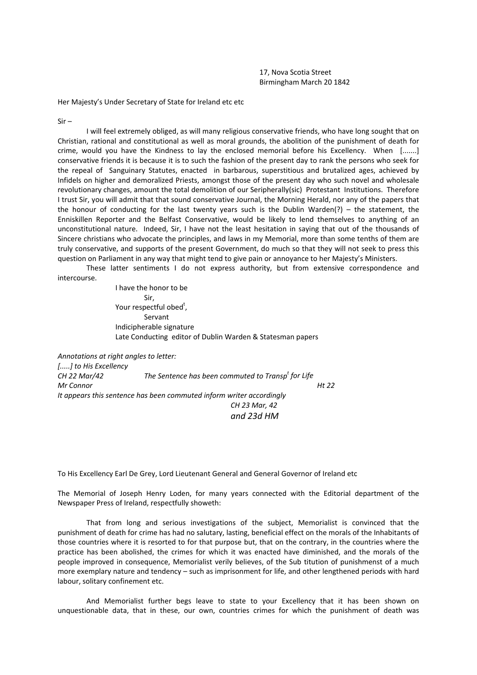17, Nova Scotia Street Birmingham March 20 1842

Her Majesty's Under Secretary of State for Ireland etc etc

Sir –

I will feel extremely obliged, as will many religious conservative friends, who have long sought that on Christian, rational and constitutional as well as moral grounds, the abolition of the punishment of death for crime, would you have the Kindness to lay the enclosed memorial before his Excellency. When [.......] conservative friends it is because it is to such the fashion of the present day to rank the persons who seek for the repeal of Sanguinary Statutes, enacted in barbarous, superstitious and brutalized ages, achieved by Infidels on higher and demoralized Priests, amongst those of the present day who such novel and wholesale revolutionary changes, amount the total demolition of our Seripherally(sic) Protestant Institutions. Therefore I trust Sir, you will admit that that sound conservative Journal, the Morning Herald, nor any of the papers that the honour of conducting for the last twenty years such is the Dublin Warden(?) – the statement, the Enniskillen Reporter and the Belfast Conservative, would be likely to lend themselves to anything of an unconstitutional nature. Indeed, Sir, I have not the least hesitation in saying that out of the thousands of Sincere christians who advocate the principles, and laws in my Memorial, more than some tenths of them are truly conservative, and supports of the present Government, do much so that they will not seek to press this question on Parliament in any way that might tend to give pain or annoyance to her Majesty's Ministers.

These latter sentiments I do not express authority, but from extensive correspondence and intercourse.

> I have the honor to be Sir, Your respectful obed<sup>t</sup>, Servant Indicipherable signature Late Conducting editor of Dublin Warden & Statesman papers

*Annotations at right angles to letter: [.....] to His Excellency CH 22 Mar/42 The Sentence has been commuted to Transp<sup>t</sup> for Life Mr Connor Ht 22 It appears this sentence has been commuted inform writer accordingly CH 23 Mar, 42 and 23d HM*

To His Excellency Earl De Grey, Lord Lieutenant General and General Governor of Ireland etc

The Memorial of Joseph Henry Loden, for many years connected with the Editorial department of the Newspaper Press of Ireland, respectfully showeth:

That from long and serious investigations of the subject, Memorialist is convinced that the punishment of death for crime has had no salutary, lasting, beneficial effect on the morals of the Inhabitants of those countries where it is resorted to for that purpose but, that on the contrary, in the countries where the practice has been abolished, the crimes for which it was enacted have diminished, and the morals of the people improved in consequence, Memorialist verily believes, of the Sub titution of punishmenst of a much more exemplary nature and tendency – such as imprisonment for life, and other lengthened periods with hard labour, solitary confinement etc.

And Memorialist further begs leave to state to your Excellency that it has been shown on unquestionable data, that in these, our own, countries crimes for which the punishment of death was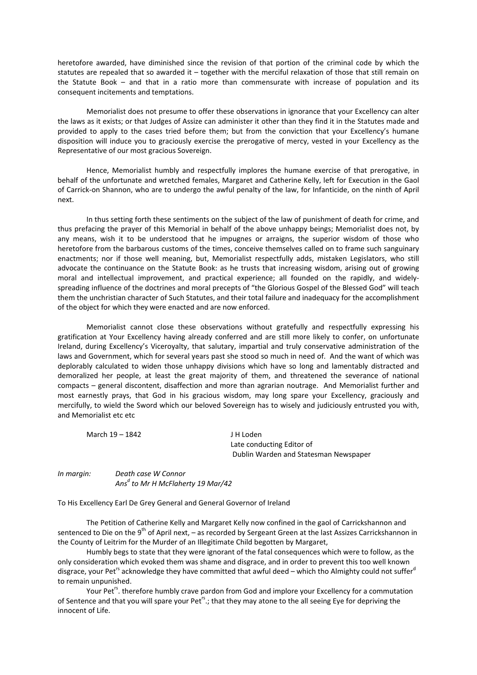heretofore awarded, have diminished since the revision of that portion of the criminal code by which the statutes are repealed that so awarded it – together with the merciful relaxation of those that still remain on the Statute Book – and that in a ratio more than commensurate with increase of population and its consequent incitements and temptations.

Memorialist does not presume to offer these observations in ignorance that your Excellency can alter the laws as it exists; or that Judges of Assize can administer it other than they find it in the Statutes made and provided to apply to the cases tried before them; but from the conviction that your Excellency's humane disposition will induce you to graciously exercise the prerogative of mercy, vested in your Excellency as the Representative of our most gracious Sovereign.

Hence, Memorialist humbly and respectfully implores the humane exercise of that prerogative, in behalf of the unfortunate and wretched females, Margaret and Catherine Kelly, left for Execution in the Gaol of Carrick‐on Shannon, who are to undergo the awful penalty of the law, for Infanticide, on the ninth of April next.

In thus setting forth these sentiments on the subject of the law of punishment of death for crime, and thus prefacing the prayer of this Memorial in behalf of the above unhappy beings; Memorialist does not, by any means, wish it to be understood that he impugnes or arraigns, the superior wisdom of those who heretofore from the barbarous customs of the times, conceive themselves called on to frame such sanguinary enactments; nor if those well meaning, but, Memorialist respectfully adds, mistaken Legislators, who still advocate the continuance on the Statute Book: as he trusts that increasing wisdom, arising out of growing moral and intellectual improvement, and practical experience; all founded on the rapidly, and widelyspreading influence of the doctrines and moral precepts of "the Glorious Gospel of the Blessed God" will teach them the unchristian character of Such Statutes, and their total failure and inadequacy for the accomplishment of the object for which they were enacted and are now enforced.

Memorialist cannot close these observations without gratefully and respectfully expressing his gratification at Your Excellency having already conferred and are still more likely to confer, on unfortunate Ireland, during Excellency's Viceroyalty, that salutary, impartial and truly conservative administration of the laws and Government, which for several years past she stood so much in need of. And the want of which was deplorably calculated to widen those unhappy divisions which have so long and lamentably distracted and demoralized her people, at least the great majority of them, and threatened the severance of national compacts – general discontent, disaffection and more than agrarian noutrage. And Memorialist further and most earnestly prays, that God in his gracious wisdom, may long spare your Excellency, graciously and mercifully, to wield the Sword which our beloved Sovereign has to wisely and judiciously entrusted you with, and Memorialist etc etc

March 19 – 1842 J H Loden Late conducting Editor of Dublin Warden and Statesman Newspaper

*In margin: Death case W Connor Ans<sup>d</sup> to Mr H McFlaherty 19 Mar/42*

To His Excellency Earl De Grey General and General Governor of Ireland

The Petition of Catherine Kelly and Margaret Kelly now confined in the gaol of Carrickshannon and sentenced to Die on the 9<sup>th</sup> of April next, – as recorded by Sergeant Green at the last Assizes Carrickshannon in the County of Leitrim for the Murder of an Illegitimate Child begotten by Margaret,

Humbly begs to state that they were ignorant of the fatal consequences which were to follow, as the only consideration which evoked them was shame and disgrace, and in order to prevent this too well known disgrace, your Pet<sup>rs</sup> acknowledge they have committed that awful deed – which tho Almighty could not suffer<sup>d</sup> to remain unpunished.

Your Pet<sup>rs</sup>. therefore humbly crave pardon from God and implore your Excellency for a commutation of Sentence and that you will spare your Pet<sup>rs</sup>.; that they may atone to the all seeing Eye for depriving the innocent of Life.